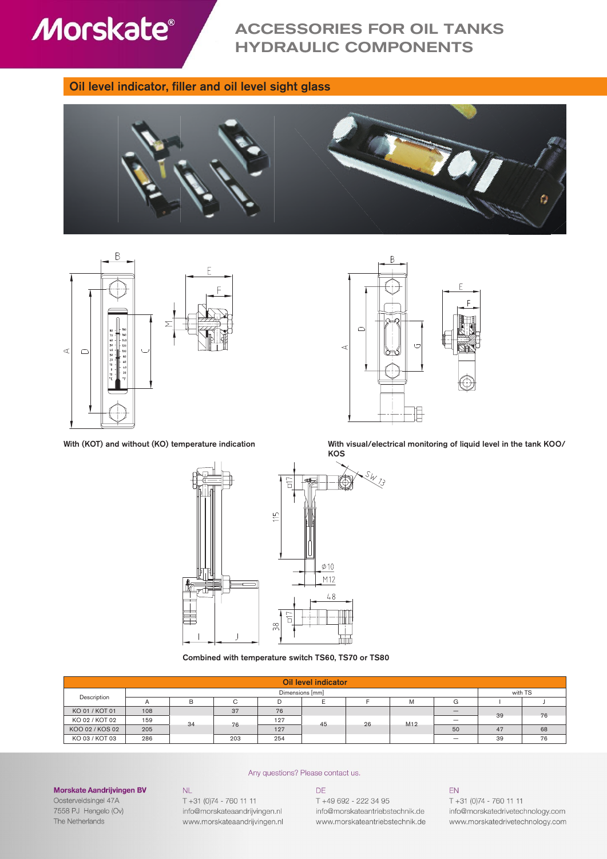

# ACCESSORIES FOR OIL TANKS HYDRAULIC COMPONENTS

### Oil level indicator, filler and oil level sight glass







With (KOT) and without (KO) temperature indication With visual/electrical monitoring of liquid level in the tank KOO/



Combined with temperature switch TS60, TS70 or TS80

| Oil level indicator |     |    |     |     |    |    |         |                          |    |    |
|---------------------|-----|----|-----|-----|----|----|---------|--------------------------|----|----|
| Dimensions [mm]     |     |    |     |     |    |    | with TS |                          |    |    |
| Description         |     | в  |     | D   |    |    | Μ       | G                        |    |    |
| KO 01 / KOT 01      | 108 |    | 37  | 76  |    |    |         | $\overline{\phantom{a}}$ | 39 | 76 |
| KO 02 / KOT 02      | 159 | 34 | 76  | 127 | 45 | 26 | M12     | $\overline{\phantom{a}}$ |    |    |
| KOO 02 / KOS 02     | 205 |    |     | 127 |    |    |         | 50                       | 47 | 68 |
| KO 03 / KOT 03      | 286 |    | 203 | 254 |    |    |         | $\qquad \qquad$          | 39 | 76 |

#### Any questions? Please contact us.

## DE

T +49 692 - 222 34 95 info@morskateantriebstechnik.de www.morskateantriebstechnik.de

#### EN

T +31 (0)74 - 760 11 11 info@morskatedrivetechnology.com www.morskatedrivetechnology.com

Oosterveldsingel 47A 7558 PJ Hengelo (Ov) The Netherlands

Morskate Aandrijvingen BV

T +31 (0)74 - 760 11 11 info@morskateaandrijvingen.nl www.morskateaandrijvingen.nl

 $NL$